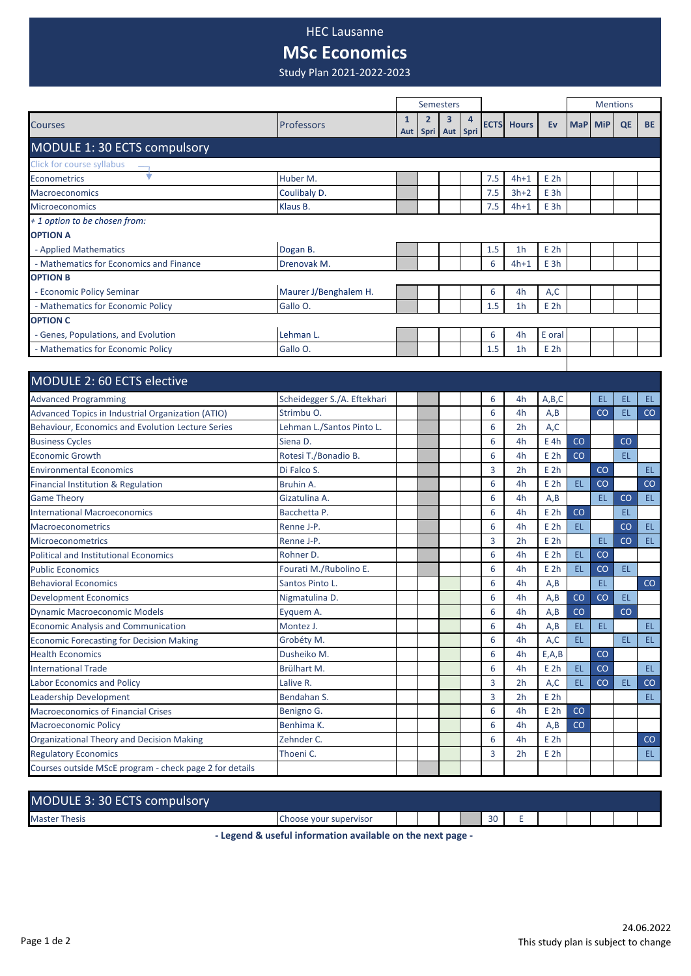## HEC Lausanne

# **MSc Economics**

Study Plan 2021-2022-2023

|                                         |                       |   | <b>Semesters</b> |                        |   |     |                   | <b>Mentions</b> |            |            |    |           |
|-----------------------------------------|-----------------------|---|------------------|------------------------|---|-----|-------------------|-----------------|------------|------------|----|-----------|
| <b>Courses</b>                          | <b>Professors</b>     | 1 | 2                | 3<br>Aut Spri Aut Spri | 4 |     | <b>ECTS</b> Hours | Ev              | <b>MaP</b> | <b>MiP</b> | QE | <b>BE</b> |
| MODULE 1:30 ECTS compulsory             |                       |   |                  |                        |   |     |                   |                 |            |            |    |           |
| Click for course syllabus               |                       |   |                  |                        |   |     |                   |                 |            |            |    |           |
| <b>Econometrics</b>                     | Huber M.              |   |                  |                        |   | 7.5 | $4h+1$            | E <sub>2h</sub> |            |            |    |           |
| <b>Macroeconomics</b>                   | Coulibaly D.          |   |                  |                        |   | 7.5 | $3h+2$            | E <sub>3h</sub> |            |            |    |           |
| <b>Microeconomics</b>                   | Klaus B.              |   |                  |                        |   | 7.5 | $4h+1$            | E <sub>3h</sub> |            |            |    |           |
| + 1 option to be chosen from:           |                       |   |                  |                        |   |     |                   |                 |            |            |    |           |
| <b>OPTION A</b>                         |                       |   |                  |                        |   |     |                   |                 |            |            |    |           |
| - Applied Mathematics                   | Dogan B.              |   |                  |                        |   | 1.5 | 1 <sub>h</sub>    | E <sub>2h</sub> |            |            |    |           |
| - Mathematics for Economics and Finance | Drenovak M.           |   |                  |                        |   | 6   | $4h+1$            | E <sub>3h</sub> |            |            |    |           |
| <b>OPTION B</b>                         |                       |   |                  |                        |   |     |                   |                 |            |            |    |           |
| - Economic Policy Seminar               | Maurer J/Benghalem H. |   |                  |                        |   | 6   | 4h                | A, C            |            |            |    |           |
| - Mathematics for Economic Policy       | Gallo O.              |   |                  |                        |   | 1.5 | 1 <sub>h</sub>    | E <sub>2h</sub> |            |            |    |           |
| <b>OPTION C</b>                         |                       |   |                  |                        |   |     |                   |                 |            |            |    |           |
| - Genes, Populations, and Evolution     | Lehman L.             |   |                  |                        |   | 6   | 4h                | E oral          |            |            |    |           |
| - Mathematics for Economic Policy       | Gallo O.              |   |                  |                        |   | 1.5 | 1 <sub>h</sub>    | E <sub>2h</sub> |            |            |    |           |
|                                         |                       |   |                  |                        |   |     |                   |                 |            |            |    |           |
| <b>MODULE 2: 60 ECTS elective</b>       |                       |   |                  |                        |   |     |                   |                 |            |            |    |           |

| <b>Advanced Programming</b>                             | Scheidegger S./A. Eftekhari |  |  | 6 | 4h             | A,B,C           |           | <b>EL</b> | <b>EL</b> | EL.       |
|---------------------------------------------------------|-----------------------------|--|--|---|----------------|-----------------|-----------|-----------|-----------|-----------|
| Advanced Topics in Industrial Organization (ATIO)       | Strimbu O.                  |  |  | 6 | 4h             | A, B            |           | CO        | EL        | CO        |
| Behaviour, Economics and Evolution Lecture Series       | Lehman L./Santos Pinto L.   |  |  | 6 | 2h             | A, C            |           |           |           |           |
| <b>Business Cycles</b>                                  | Siena D.                    |  |  | 6 | 4h             | $E$ 4h          | CO        |           | CO        |           |
| <b>Economic Growth</b>                                  | Rotesi T./Bonadio B.        |  |  | 6 | 4h             | E <sub>2h</sub> | CO        |           | <b>EL</b> |           |
| <b>Environmental Economics</b>                          | Di Falco S.                 |  |  | 3 | 2h             | E <sub>2h</sub> |           | CO        |           | EL.       |
| Financial Institution & Regulation                      | Bruhin A.                   |  |  | 6 | 4h             | E <sub>2h</sub> | EL.       | CO        |           | CO        |
| <b>Game Theory</b>                                      | Gizatulina A.               |  |  | 6 | 4h             | A, B            |           | EL.       | CO        | <b>EL</b> |
| <b>International Macroeconomics</b>                     | Bacchetta P.                |  |  | 6 | 4h             | E <sub>2h</sub> | CO        |           | <b>EL</b> |           |
| <b>Macroeconometrics</b>                                | Renne J-P.                  |  |  | 6 | 4h             | E <sub>2h</sub> | EL.       |           | CO        | <b>EL</b> |
| <b>Microeconometrics</b>                                | Renne J-P.                  |  |  | 3 | 2 <sub>h</sub> | E <sub>2h</sub> |           | EL.       | CO        | EL.       |
| <b>Political and Institutional Economics</b>            | Rohner D.                   |  |  | 6 | 4h             | E <sub>2h</sub> | EL.       | CO        |           |           |
| <b>Public Economics</b>                                 | Fourati M./Rubolino E.      |  |  | 6 | 4h             | E <sub>2h</sub> | EL.       | CO        | <b>EL</b> |           |
| <b>Behavioral Economics</b>                             | Santos Pinto L.             |  |  | 6 | 4h             | A, B            |           | <b>EL</b> |           | CO        |
| <b>Development Economics</b>                            | Nigmatulina D.              |  |  | 6 | 4h             | A,B             | CO        | CO        | <b>EL</b> |           |
| <b>Dynamic Macroeconomic Models</b>                     | Eyquem A.                   |  |  | 6 | 4h             | A, B            | CO        |           | CO        |           |
| <b>Economic Analysis and Communication</b>              | Montez J.                   |  |  | 6 | 4h             | A, B            | EL.       | EL.       |           | EL.       |
| <b>Economic Forecasting for Decision Making</b>         | Grobéty M.                  |  |  | 6 | 4h             | A, C            | EL.       |           | <b>EL</b> | <b>EL</b> |
| <b>Health Economics</b>                                 | Dusheiko M.                 |  |  | 6 | 4h             | E, A, B         |           | CO        |           |           |
| <b>International Trade</b>                              | Brülhart M.                 |  |  | 6 | 4h             | E <sub>2h</sub> | <b>EL</b> | CO        |           | EL.       |
| Labor Economics and Policy                              | Lalive R.                   |  |  | 3 | 2 <sub>h</sub> | A, C            | EL.       | CO        | EL        | CO        |
| Leadership Development                                  | Bendahan S.                 |  |  | 3 | 2 <sub>h</sub> | E <sub>2h</sub> |           |           |           | <b>EL</b> |
| <b>Macroeconomics of Financial Crises</b>               | Benigno G.                  |  |  | 6 | 4h             | E <sub>2h</sub> | CO        |           |           |           |
| <b>Macroeconomic Policy</b>                             | Benhima K.                  |  |  | 6 | 4h             | A, B            | CO        |           |           |           |
| Organizational Theory and Decision Making               | Zehnder C.                  |  |  | 6 | 4h             | E <sub>2h</sub> |           |           |           | CO        |
| <b>Regulatory Economics</b>                             | Thoeni C.                   |  |  | 3 | 2h             | E <sub>2h</sub> |           |           |           | EL.       |
| Courses outside MScE program - check page 2 for details |                             |  |  |   |                |                 |           |           |           |           |

| MODULE 3: 30 ECTS compulsory |                        |  |  |          |  |  |  |
|------------------------------|------------------------|--|--|----------|--|--|--|
| <b>Master Thesis</b>         | Choose your supervisor |  |  | 20<br>JU |  |  |  |

**- Legend & useful information available on the next page -**